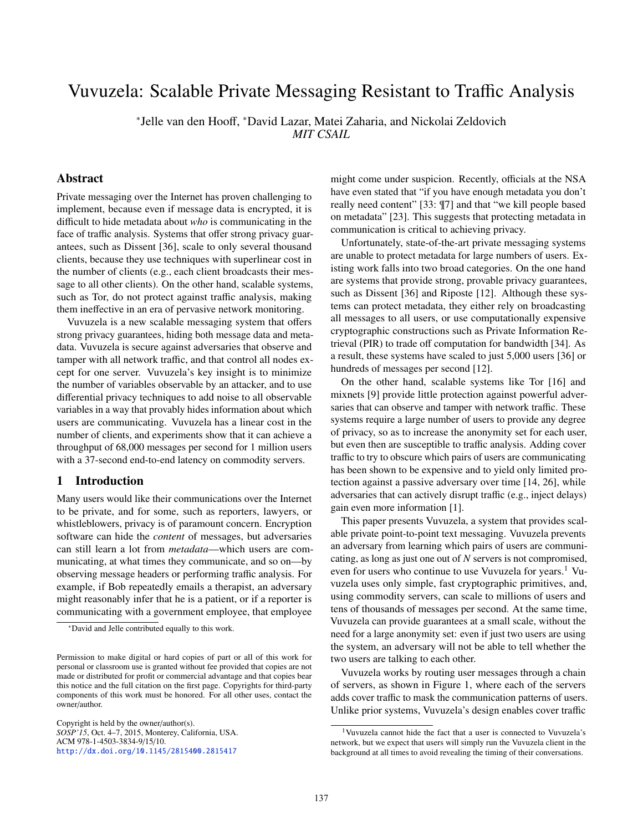# Vuvuzela: Scalable Private Messaging Resistant to Traffic Analysis

∗ Jelle van den Hooff, <sup>∗</sup>David Lazar, Matei Zaharia, and Nickolai Zeldovich *MIT CSAIL*

# Abstract

Private messaging over the Internet has proven challenging to implement, because even if message data is encrypted, it is difficult to hide metadata about *who* is communicating in the face of traffic analysis. Systems that offer strong privacy guarantees, such as Dissent [\[36\]](#page-15-0), scale to only several thousand clients, because they use techniques with superlinear cost in the number of clients (e.g., each client broadcasts their message to all other clients). On the other hand, scalable systems, such as Tor, do not protect against traffic analysis, making them ineffective in an era of pervasive network monitoring.

Vuvuzela is a new scalable messaging system that offers strong privacy guarantees, hiding both message data and metadata. Vuvuzela is secure against adversaries that observe and tamper with all network traffic, and that control all nodes except for one server. Vuvuzela's key insight is to minimize the number of variables observable by an attacker, and to use differential privacy techniques to add noise to all observable variables in a way that provably hides information about which users are communicating. Vuvuzela has a linear cost in the number of clients, and experiments show that it can achieve a throughput of 68,000 messages per second for 1 million users with a 37-second end-to-end latency on commodity servers.

#### <span id="page-0-1"></span>1 Introduction

Many users would like their communications over the Internet to be private, and for some, such as reporters, lawyers, or whistleblowers, privacy is of paramount concern. Encryption software can hide the *content* of messages, but adversaries can still learn a lot from *metadata*—which users are communicating, at what times they communicate, and so on—by observing message headers or performing traffic analysis. For example, if Bob repeatedly emails a therapist, an adversary might reasonably infer that he is a patient, or if a reporter is communicating with a government employee, that employee

<sup>∗</sup>David and Jelle contributed equally to this work.

Copyright is held by the owner/author(s). *SOSP'15*, Oct. 4–7, 2015, Monterey, California, USA. ACM 978-1-4503-3834-9/15/10. <http://dx.doi.org/10.1145/2815400.2815417>

might come under suspicion. Recently, officials at the NSA have even stated that "if you have enough metadata you don't really need content" [\[33:](#page-15-1) ¶7] and that "we kill people based on metadata" [\[23\]](#page-15-2). This suggests that protecting metadata in communication is critical to achieving privacy.

Unfortunately, state-of-the-art private messaging systems are unable to protect metadata for large numbers of users. Existing work falls into two broad categories. On the one hand are systems that provide strong, provable privacy guarantees, such as Dissent [\[36\]](#page-15-0) and Riposte [\[12\]](#page-15-3). Although these systems can protect metadata, they either rely on broadcasting all messages to all users, or use computationally expensive cryptographic constructions such as Private Information Retrieval (PIR) to trade off computation for bandwidth [\[34\]](#page-15-4). As a result, these systems have scaled to just 5,000 users [\[36\]](#page-15-0) or hundreds of messages per second [\[12\]](#page-15-3).

On the other hand, scalable systems like Tor [\[16\]](#page-15-5) and mixnets [\[9\]](#page-15-6) provide little protection against powerful adversaries that can observe and tamper with network traffic. These systems require a large number of users to provide any degree of privacy, so as to increase the anonymity set for each user, but even then are susceptible to traffic analysis. Adding cover traffic to try to obscure which pairs of users are communicating has been shown to be expensive and to yield only limited protection against a passive adversary over time [\[14,](#page-15-7) [26\]](#page-15-8), while adversaries that can actively disrupt traffic (e.g., inject delays) gain even more information [\[1\]](#page-14-0).

This paper presents Vuvuzela, a system that provides scalable private point-to-point text messaging. Vuvuzela prevents an adversary from learning which pairs of users are communicating, as long as just one out of *N* servers is not compromised, even for users who continue to use Vuvuzela for years.<sup>[1](#page-0-0)</sup> Vuvuzela uses only simple, fast cryptographic primitives, and, using commodity servers, can scale to millions of users and tens of thousands of messages per second. At the same time, Vuvuzela can provide guarantees at a small scale, without the need for a large anonymity set: even if just two users are using the system, an adversary will not be able to tell whether the two users are talking to each other.

Vuvuzela works by routing user messages through a chain of servers, as shown in Figure [1,](#page-1-0) where each of the servers adds cover traffic to mask the communication patterns of users. Unlike prior systems, Vuvuzela's design enables cover traffic

Permission to make digital or hard copies of part or all of this work for personal or classroom use is granted without fee provided that copies are not made or distributed for profit or commercial advantage and that copies bear this notice and the full citation on the first page. Copyrights for third-party components of this work must be honored. For all other uses, contact the owner/author.

<span id="page-0-0"></span><sup>1</sup>Vuvuzela cannot hide the fact that a user is connected to Vuvuzela's network, but we expect that users will simply run the Vuvuzela client in the background at all times to avoid revealing the timing of their conversations.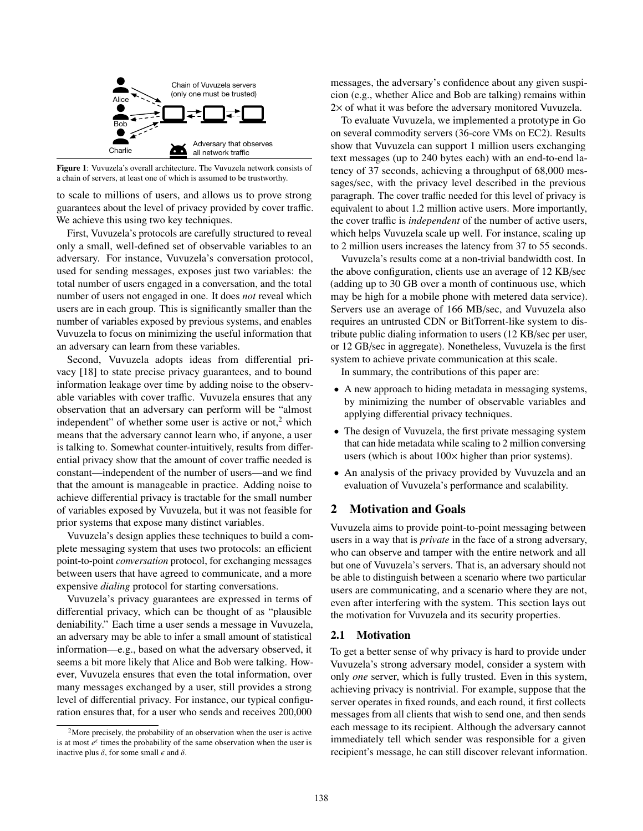

<span id="page-1-0"></span>Figure 1: Vuvuzela's overall architecture. The Vuvuzela network consists of a chain of servers, at least one of which is assumed to be trustworthy.

to scale to millions of users, and allows us to prove strong guarantees about the level of privacy provided by cover traffic. We achieve this using two key techniques.

First, Vuvuzela's protocols are carefully structured to reveal only a small, well-defined set of observable variables to an adversary. For instance, Vuvuzela's conversation protocol, used for sending messages, exposes just two variables: the total number of users engaged in a conversation, and the total number of users not engaged in one. It does *not* reveal which users are in each group. This is significantly smaller than the number of variables exposed by previous systems, and enables Vuvuzela to focus on minimizing the useful information that an adversary can learn from these variables.

Second, Vuvuzela adopts ideas from differential privacy [\[18\]](#page-15-9) to state precise privacy guarantees, and to bound information leakage over time by adding noise to the observable variables with cover traffic. Vuvuzela ensures that any observation that an adversary can perform will be "almost independent" of whether some user is active or not, $2$  which means that the adversary cannot learn who, if anyone, a user is talking to. Somewhat counter-intuitively, results from differential privacy show that the amount of cover traffic needed is constant—independent of the number of users—and we find that the amount is manageable in practice. Adding noise to achieve differential privacy is tractable for the small number of variables exposed by Vuvuzela, but it was not feasible for prior systems that expose many distinct variables.

Vuvuzela's design applies these techniques to build a complete messaging system that uses two protocols: an efficient point-to-point *conversation* protocol, for exchanging messages between users that have agreed to communicate, and a more expensive *dialing* protocol for starting conversations.

Vuvuzela's privacy guarantees are expressed in terms of differential privacy, which can be thought of as "plausible deniability." Each time a user sends a message in Vuvuzela, an adversary may be able to infer a small amount of statistical information—e.g., based on what the adversary observed, it seems a bit more likely that Alice and Bob were talking. However, Vuvuzela ensures that even the total information, over many messages exchanged by a user, still provides a strong level of differential privacy. For instance, our typical configuration ensures that, for a user who sends and receives 200,000 messages, the adversary's confidence about any given suspicion (e.g., whether Alice and Bob are talking) remains within  $2\times$  of what it was before the adversary monitored Vuvuzela.

To evaluate Vuvuzela, we implemented a prototype in Go on several commodity servers (36-core VMs on EC2). Results show that Vuvuzela can support 1 million users exchanging text messages (up to 240 bytes each) with an end-to-end latency of 37 seconds, achieving a throughput of 68,000 messages/sec, with the privacy level described in the previous paragraph. The cover traffic needed for this level of privacy is equivalent to about 1.2 million active users. More importantly, the cover traffic is *independent* of the number of active users, which helps Vuvuzela scale up well. For instance, scaling up to 2 million users increases the latency from 37 to 55 seconds.

Vuvuzela's results come at a non-trivial bandwidth cost. In the above configuration, clients use an average of 12 KB/sec (adding up to 30 GB over a month of continuous use, which may be high for a mobile phone with metered data service). Servers use an average of 166 MB/sec, and Vuvuzela also requires an untrusted CDN or BitTorrent-like system to distribute public dialing information to users (12 KB/sec per user, or 12 GB/sec in aggregate). Nonetheless, Vuvuzela is the first system to achieve private communication at this scale.

In summary, the contributions of this paper are:

- A new approach to hiding metadata in messaging systems, by minimizing the number of observable variables and applying differential privacy techniques.
- The design of Vuvuzela, the first private messaging system that can hide metadata while scaling to 2 million conversing users (which is about  $100\times$  higher than prior systems).
- An analysis of the privacy provided by Vuvuzela and an evaluation of Vuvuzela's performance and scalability.

## 2 Motivation and Goals

Vuvuzela aims to provide point-to-point messaging between users in a way that is *private* in the face of a strong adversary, who can observe and tamper with the entire network and all but one of Vuvuzela's servers. That is, an adversary should not be able to distinguish between a scenario where two particular users are communicating, and a scenario where they are not, even after interfering with the system. This section lays out the motivation for Vuvuzela and its security properties.

#### <span id="page-1-2"></span>2.1 Motivation

To get a better sense of why privacy is hard to provide under Vuvuzela's strong adversary model, consider a system with only *one* server, which is fully trusted. Even in this system, achieving privacy is nontrivial. For example, suppose that the server operates in fixed rounds, and each round, it first collects messages from all clients that wish to send one, and then sends each message to its recipient. Although the adversary cannot immediately tell which sender was responsible for a given recipient's message, he can still discover relevant information.

<span id="page-1-1"></span><sup>2</sup>More precisely, the probability of an observation when the user is active is at most  $e^{\epsilon}$  times the probability of the same observation when the user is inactive plus  $\delta$ , for some small  $\epsilon$  and  $\delta$ .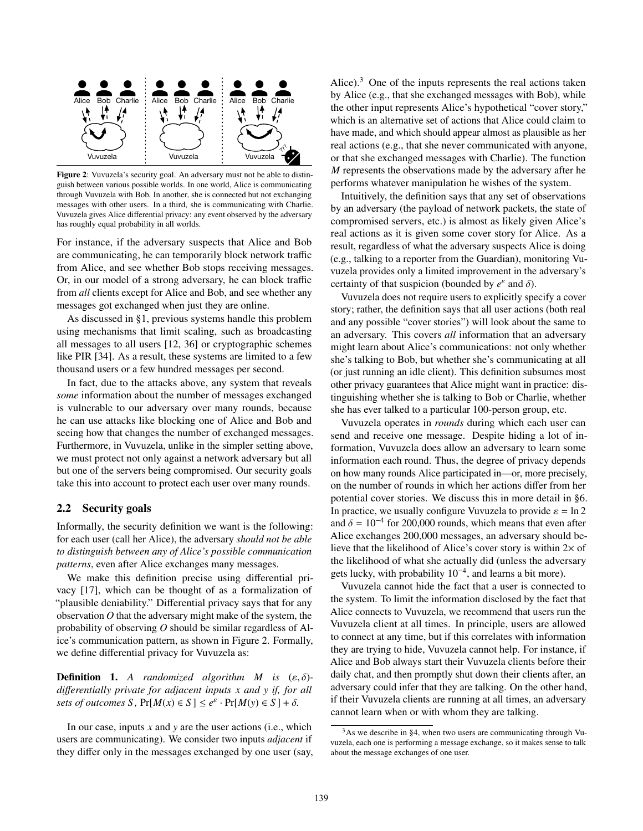

<span id="page-2-0"></span>Figure 2: Vuvuzela's security goal. An adversary must not be able to distinguish between various possible worlds. In one world, Alice is communicating through Vuvuzela with Bob. In another, she is connected but not exchanging messages with other users. In a third, she is communicating with Charlie. Vuvuzela gives Alice differential privacy: any event observed by the adversary has roughly equal probability in all worlds.

For instance, if the adversary suspects that Alice and Bob are communicating, he can temporarily block network traffic from Alice, and see whether Bob stops receiving messages. Or, in our model of a strong adversary, he can block traffic from *all* clients except for Alice and Bob, and see whether any messages got exchanged when just they are online.

As discussed in [§1,](#page-0-1) previous systems handle this problem using mechanisms that limit scaling, such as broadcasting all messages to all users [\[12,](#page-15-3) [36\]](#page-15-0) or cryptographic schemes like PIR [\[34\]](#page-15-4). As a result, these systems are limited to a few thousand users or a few hundred messages per second.

In fact, due to the attacks above, any system that reveals *some* information about the number of messages exchanged is vulnerable to our adversary over many rounds, because he can use attacks like blocking one of Alice and Bob and seeing how that changes the number of exchanged messages. Furthermore, in Vuvuzela, unlike in the simpler setting above, we must protect not only against a network adversary but all but one of the servers being compromised. Our security goals take this into account to protect each user over many rounds.

#### <span id="page-2-2"></span>2.2 Security goals

Informally, the security definition we want is the following: for each user (call her Alice), the adversary *should not be able to distinguish between any of Alice's possible communication patterns*, even after Alice exchanges many messages.

We make this definition precise using differential privacy [\[17\]](#page-15-10), which can be thought of as a formalization of "plausible deniability." Differential privacy says that for any observation *O* that the adversary might make of the system, the probability of observing *O* should be similar regardless of Alice's communication pattern, as shown in Figure [2.](#page-2-0) Formally, we define differential privacy for Vuvuzela as:

**Definition 1.** A randomized algorithm  $M$  is  $(\varepsilon, \delta)$ *di*ff*erentially private for adjacent inputs x and y if, for all sets of outcomes*  $S$ ,  $Pr[M(x) \in S] \le e^{\varepsilon} \cdot Pr[M(y) \in S] + \delta$ .

In our case, inputs *x* and *y* are the user actions (i.e., which users are communicating). We consider two inputs *adjacent* if they differ only in the messages exchanged by one user (say, Alice). $3$  One of the inputs represents the real actions taken by Alice (e.g., that she exchanged messages with Bob), while the other input represents Alice's hypothetical "cover story," which is an alternative set of actions that Alice could claim to have made, and which should appear almost as plausible as her real actions (e.g., that she never communicated with anyone, or that she exchanged messages with Charlie). The function *M* represents the observations made by the adversary after he performs whatever manipulation he wishes of the system.

Intuitively, the definition says that any set of observations by an adversary (the payload of network packets, the state of compromised servers, etc.) is almost as likely given Alice's real actions as it is given some cover story for Alice. As a result, regardless of what the adversary suspects Alice is doing (e.g., talking to a reporter from the Guardian), monitoring Vuvuzela provides only a limited improvement in the adversary's certainty of that suspicion (bounded by  $e^{\varepsilon}$  and  $\delta$ ).<br>
Vuyuzela does not require users to explicitly spe

Vuvuzela does not require users to explicitly specify a cover story; rather, the definition says that all user actions (both real and any possible "cover stories") will look about the same to an adversary. This covers *all* information that an adversary might learn about Alice's communications: not only whether she's talking to Bob, but whether she's communicating at all (or just running an idle client). This definition subsumes most other privacy guarantees that Alice might want in practice: distinguishing whether she is talking to Bob or Charlie, whether she has ever talked to a particular 100-person group, etc.

Vuvuzela operates in *rounds* during which each user can send and receive one message. Despite hiding a lot of information, Vuvuzela does allow an adversary to learn some information each round. Thus, the degree of privacy depends on how many rounds Alice participated in—or, more precisely, on the number of rounds in which her actions differ from her potential cover stories. We discuss this in more detail in [§6.](#page-7-0) In practice, we usually configure Vuvuzela to provide  $\varepsilon = \ln 2$ and  $\delta = 10^{-4}$  for 200,000 rounds, which means that even after Alice exchanges 200,000 messages an adversary should be Alice exchanges 200,000 messages, an adversary should believe that the likelihood of Alice's cover story is within  $2 \times$  of the likelihood of what she actually did (unless the adversary gets lucky, with probability  $10^{-4}$ , and learns a bit more).

Vuvuzela cannot hide the fact that a user is connected to the system. To limit the information disclosed by the fact that Alice connects to Vuvuzela, we recommend that users run the Vuvuzela client at all times. In principle, users are allowed to connect at any time, but if this correlates with information they are trying to hide, Vuvuzela cannot help. For instance, if Alice and Bob always start their Vuvuzela clients before their daily chat, and then promptly shut down their clients after, an adversary could infer that they are talking. On the other hand, if their Vuvuzela clients are running at all times, an adversary cannot learn when or with whom they are talking.

<span id="page-2-1"></span><sup>3</sup>As we describe in [§4,](#page-4-0) when two users are communicating through Vuvuzela, each one is performing a message exchange, so it makes sense to talk about the message exchanges of one user.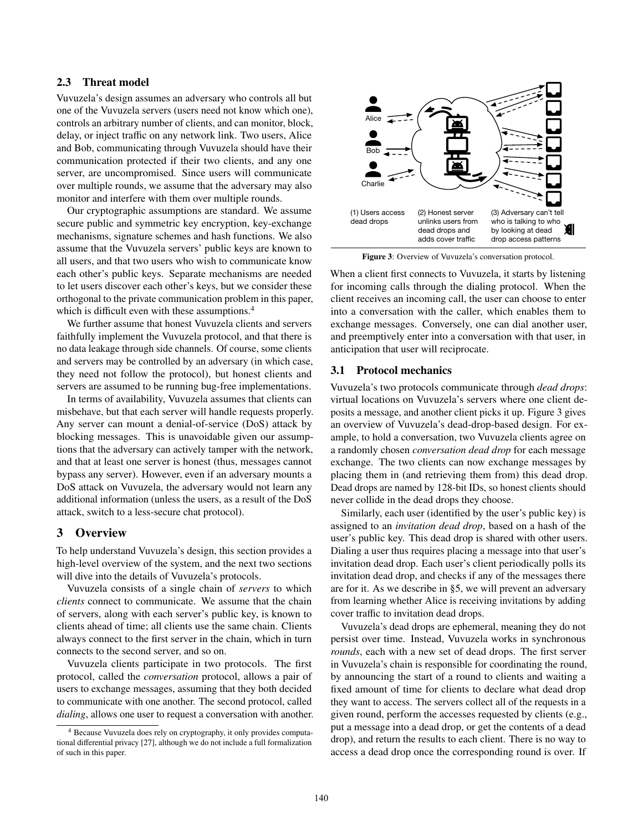## <span id="page-3-2"></span>2.3 Threat model

Vuvuzela's design assumes an adversary who controls all but one of the Vuvuzela servers (users need not know which one), controls an arbitrary number of clients, and can monitor, block, delay, or inject traffic on any network link. Two users, Alice and Bob, communicating through Vuvuzela should have their communication protected if their two clients, and any one server, are uncompromised. Since users will communicate over multiple rounds, we assume that the adversary may also monitor and interfere with them over multiple rounds.

Our cryptographic assumptions are standard. We assume secure public and symmetric key encryption, key-exchange mechanisms, signature schemes and hash functions. We also assume that the Vuvuzela servers' public keys are known to all users, and that two users who wish to communicate know each other's public keys. Separate mechanisms are needed to let users discover each other's keys, but we consider these orthogonal to the private communication problem in this paper, which is difficult even with these assumptions.<sup>[4](#page-3-0)</sup>

We further assume that honest Vuvuzela clients and servers faithfully implement the Vuvuzela protocol, and that there is no data leakage through side channels. Of course, some clients and servers may be controlled by an adversary (in which case, they need not follow the protocol), but honest clients and servers are assumed to be running bug-free implementations.

In terms of availability, Vuvuzela assumes that clients can misbehave, but that each server will handle requests properly. Any server can mount a denial-of-service (DoS) attack by blocking messages. This is unavoidable given our assumptions that the adversary can actively tamper with the network, and that at least one server is honest (thus, messages cannot bypass any server). However, even if an adversary mounts a DoS attack on Vuvuzela, the adversary would not learn any additional information (unless the users, as a result of the DoS attack, switch to a less-secure chat protocol).

## 3 Overview

To help understand Vuvuzela's design, this section provides a high-level overview of the system, and the next two sections will dive into the details of Vuvuzela's protocols.

Vuvuzela consists of a single chain of *servers* to which *clients* connect to communicate. We assume that the chain of servers, along with each server's public key, is known to clients ahead of time; all clients use the same chain. Clients always connect to the first server in the chain, which in turn connects to the second server, and so on.

Vuvuzela clients participate in two protocols. The first protocol, called the *conversation* protocol, allows a pair of users to exchange messages, assuming that they both decided to communicate with one another. The second protocol, called *dialing*, allows one user to request a conversation with another.



Figure 3: Overview of Vuvuzela's conversation protocol.

<span id="page-3-1"></span>When a client first connects to Vuvuzela, it starts by listening for incoming calls through the dialing protocol. When the client receives an incoming call, the user can choose to enter into a conversation with the caller, which enables them to exchange messages. Conversely, one can dial another user, and preemptively enter into a conversation with that user, in anticipation that user will reciprocate.

#### 3.1 Protocol mechanics

Vuvuzela's two protocols communicate through *dead drops*: virtual locations on Vuvuzela's servers where one client deposits a message, and another client picks it up. [Figure 3](#page-3-1) gives an overview of Vuvuzela's dead-drop-based design. For example, to hold a conversation, two Vuvuzela clients agree on a randomly chosen *conversation dead drop* for each message exchange. The two clients can now exchange messages by placing them in (and retrieving them from) this dead drop. Dead drops are named by 128-bit IDs, so honest clients should never collide in the dead drops they choose.

Similarly, each user (identified by the user's public key) is assigned to an *invitation dead drop*, based on a hash of the user's public key. This dead drop is shared with other users. Dialing a user thus requires placing a message into that user's invitation dead drop. Each user's client periodically polls its invitation dead drop, and checks if any of the messages there are for it. As we describe in [§5,](#page-6-0) we will prevent an adversary from learning whether Alice is receiving invitations by adding cover traffic to invitation dead drops.

Vuvuzela's dead drops are ephemeral, meaning they do not persist over time. Instead, Vuvuzela works in synchronous *rounds*, each with a new set of dead drops. The first server in Vuvuzela's chain is responsible for coordinating the round, by announcing the start of a round to clients and waiting a fixed amount of time for clients to declare what dead drop they want to access. The servers collect all of the requests in a given round, perform the accesses requested by clients (e.g., put a message into a dead drop, or get the contents of a dead drop), and return the results to each client. There is no way to access a dead drop once the corresponding round is over. If

<span id="page-3-0"></span><sup>4</sup> Because Vuvuzela does rely on cryptography, it only provides computational differential privacy [\[27\]](#page-15-11), although we do not include a full formalization of such in this paper.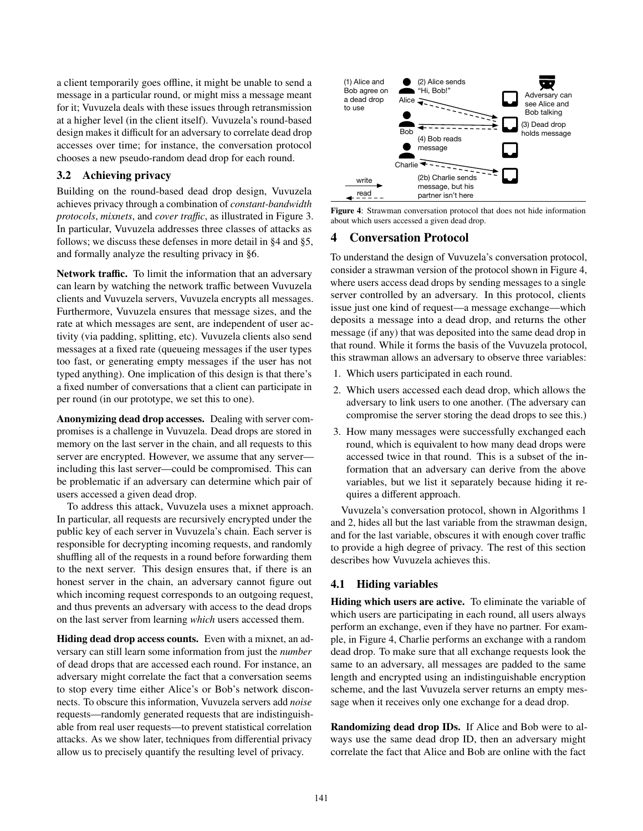a client temporarily goes offline, it might be unable to send a message in a particular round, or might miss a message meant for it; Vuvuzela deals with these issues through retransmission at a higher level (in the client itself). Vuvuzela's round-based design makes it difficult for an adversary to correlate dead drop accesses over time; for instance, the conversation protocol chooses a new pseudo-random dead drop for each round.

## 3.2 Achieving privacy

Building on the round-based dead drop design, Vuvuzela achieves privacy through a combination of *constant-bandwidth protocols*, *mixnets*, and *cover tra*ffi*c*, as illustrated in Figure [3.](#page-3-1) In particular, Vuvuzela addresses three classes of attacks as follows; we discuss these defenses in more detail in [§4](#page-4-0) and [§5,](#page-6-0) and formally analyze the resulting privacy in [§6.](#page-7-0)

Network traffic. To limit the information that an adversary can learn by watching the network traffic between Vuvuzela clients and Vuvuzela servers, Vuvuzela encrypts all messages. Furthermore, Vuvuzela ensures that message sizes, and the rate at which messages are sent, are independent of user activity (via padding, splitting, etc). Vuvuzela clients also send messages at a fixed rate (queueing messages if the user types too fast, or generating empty messages if the user has not typed anything). One implication of this design is that there's a fixed number of conversations that a client can participate in per round (in our prototype, we set this to one).

Anonymizing dead drop accesses. Dealing with server compromises is a challenge in Vuvuzela. Dead drops are stored in memory on the last server in the chain, and all requests to this server are encrypted. However, we assume that any server including this last server—could be compromised. This can be problematic if an adversary can determine which pair of users accessed a given dead drop.

To address this attack, Vuvuzela uses a mixnet approach. In particular, all requests are recursively encrypted under the public key of each server in Vuvuzela's chain. Each server is responsible for decrypting incoming requests, and randomly shuffling all of the requests in a round before forwarding them to the next server. This design ensures that, if there is an honest server in the chain, an adversary cannot figure out which incoming request corresponds to an outgoing request, and thus prevents an adversary with access to the dead drops on the last server from learning *which* users accessed them.

Hiding dead drop access counts. Even with a mixnet, an adversary can still learn some information from just the *number* of dead drops that are accessed each round. For instance, an adversary might correlate the fact that a conversation seems to stop every time either Alice's or Bob's network disconnects. To obscure this information, Vuvuzela servers add *noise* requests—randomly generated requests that are indistinguishable from real user requests—to prevent statistical correlation attacks. As we show later, techniques from differential privacy allow us to precisely quantify the resulting level of privacy.



<span id="page-4-1"></span>Figure 4: Strawman conversation protocol that does not hide information about which users accessed a given dead drop.

# <span id="page-4-0"></span>4 Conversation Protocol

To understand the design of Vuvuzela's conversation protocol, consider a strawman version of the protocol shown in [Figure 4,](#page-4-1) where users access dead drops by sending messages to a single server controlled by an adversary. In this protocol, clients issue just one kind of request—a message exchange—which deposits a message into a dead drop, and returns the other message (if any) that was deposited into the same dead drop in that round. While it forms the basis of the Vuvuzela protocol, this strawman allows an adversary to observe three variables:

- 1. Which users participated in each round.
- 2. Which users accessed each dead drop, which allows the adversary to link users to one another. (The adversary can compromise the server storing the dead drops to see this.)
- 3. How many messages were successfully exchanged each round, which is equivalent to how many dead drops were accessed twice in that round. This is a subset of the information that an adversary can derive from the above variables, but we list it separately because hiding it requires a different approach.

Vuvuzela's conversation protocol, shown in Algorithms [1](#page-5-0) and [2,](#page-5-1) hides all but the last variable from the strawman design, and for the last variable, obscures it with enough cover traffic to provide a high degree of privacy. The rest of this section describes how Vuvuzela achieves this.

# 4.1 Hiding variables

Hiding which users are active. To eliminate the variable of which users are participating in each round, all users always perform an exchange, even if they have no partner. For example, in Figure [4,](#page-4-1) Charlie performs an exchange with a random dead drop. To make sure that all exchange requests look the same to an adversary, all messages are padded to the same length and encrypted using an indistinguishable encryption scheme, and the last Vuvuzela server returns an empty message when it receives only one exchange for a dead drop.

Randomizing dead drop IDs. If Alice and Bob were to always use the same dead drop ID, then an adversary might correlate the fact that Alice and Bob are online with the fact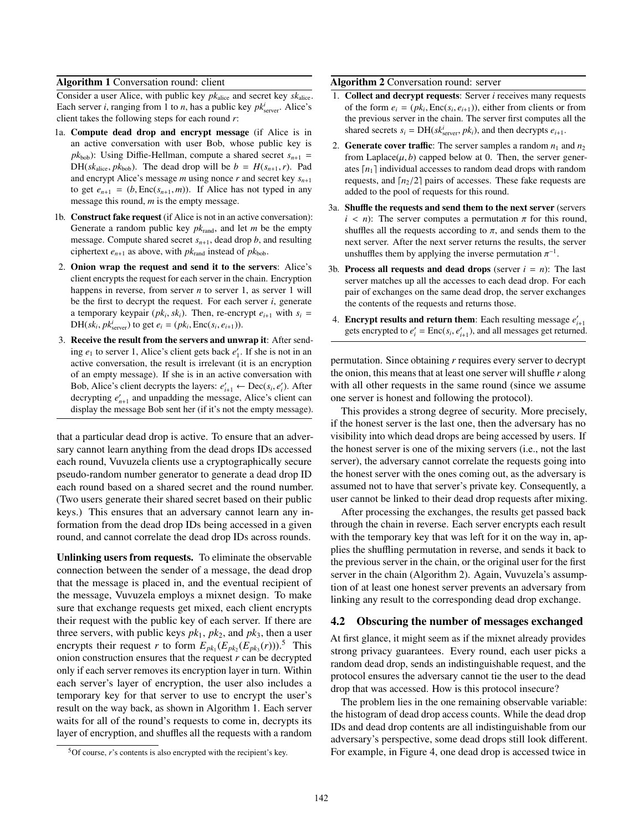#### Algorithm 1 Conversation round: client

Consider a user Alice, with public key *pk*alice and secret key *sk*alice. Each server *i*, ranging from 1 to *n*, has a public key  $pk_{\text{server}}^i$ . Alice's client takes the following steps for each round *r*:

- 1a. Compute dead drop and encrypt message (if Alice is in an active conversation with user Bob, whose public key is  $pk_{\text{bob}}$ : Using Diffie-Hellman, compute a shared secret  $s_{n+1}$  = DH( $sk<sub>alice</sub>, pk<sub>bob</sub>$ ). The dead drop will be  $b = H(s<sub>n+1</sub>, r)$ . Pad and encrypt Alice's message *m* using nonce *r* and secret key *s<sup>n</sup>*+<sup>1</sup> to get  $e_{n+1} = (b, Enc(s_{n+1}, m))$ . If Alice has not typed in any message this round, *m* is the empty message.
- 1b. Construct fake request (if Alice is not in an active conversation): Generate a random public key  $pk_{\text{rand}}$ , and let *m* be the empty message. Compute shared secret *s<sup>n</sup>*+1, dead drop *b*, and resulting ciphertext  $e_{n+1}$  as above, with  $pk_{rand}$  instead of  $pk_{bob}$ .
- 2. Onion wrap the request and send it to the servers: Alice's client encrypts the request for each server in the chain. Encryption happens in reverse, from server *n* to server 1, as server 1 will be the first to decrypt the request. For each server *i*, generate a temporary keypair  $(pk_i, sk_i)$ . Then, re-encrypt  $e_{i+1}$  with  $s_i = \text{DH}(sk, nk_i^i)$ . It are  $e_i = (nk, \text{Fnc}(s, q_i, i))$ . DH(*sk<sub>i</sub>*,  $pk_{\text{server}}^i$ ) to get  $e_i = (pk_i, \text{Enc}(s_i, e_{i+1}))$ .
- 3. Receive the result from the servers and unwrap it: After sending  $e_1$  to server 1, Alice's client gets back  $e'_1$ . If she is not in an active conversation, the result is irrelevant (it is an encryption of an empty message). If she is in an active conversation with Bob, Alice's client decrypts the layers:  $e'_{i+1} \leftarrow \text{Dec}(s_i, e'_i)$ . After decrypting  $e'_{i+1}$  and unpadding the message. Alice's client can decrypting  $e'_{n+1}$  and unpadding the message, Alice's client can display the message Bob sent her (if it's not the empty message).

<span id="page-5-0"></span>that a particular dead drop is active. To ensure that an adversary cannot learn anything from the dead drops IDs accessed each round, Vuvuzela clients use a cryptographically secure pseudo-random number generator to generate a dead drop ID each round based on a shared secret and the round number. (Two users generate their shared secret based on their public keys.) This ensures that an adversary cannot learn any information from the dead drop IDs being accessed in a given round, and cannot correlate the dead drop IDs across rounds.

Unlinking users from requests. To eliminate the observable connection between the sender of a message, the dead drop that the message is placed in, and the eventual recipient of the message, Vuvuzela employs a mixnet design. To make sure that exchange requests get mixed, each client encrypts their request with the public key of each server. If there are three servers, with public keys  $pk_1$ ,  $pk_2$ , and  $pk_3$ , then a user encrypts their request *r* to form  $E_{pk_1}(E_{pk_2}(E_{pk_3}(r)))$ .<sup>[5](#page-5-2)</sup> This onion construction ensures that the request *r* can be decrypted only if each server removes its encryption layer in turn. Within each server's layer of encryption, the user also includes a temporary key for that server to use to encrypt the user's result on the way back, as shown in Algorithm [1.](#page-5-0) Each server waits for all of the round's requests to come in, decrypts its layer of encryption, and shuffles all the requests with a random

#### Algorithm 2 Conversation round: server

- 1. Collect and decrypt requests: Server *i* receives many requests of the form  $e_i = (pk_i, Enc(s_i, e_{i+1}))$ , either from clients or from<br>the previous server in the chain. The server first computes all the the previous server in the chain. The server first computes all the shared secrets  $s_i = \text{DH}(sk_{\text{server}}^i, pk_i)$ , and then decrypts  $e_{i+1}$ .
- 2. **Generate cover traffic**: The server samples a random  $n_1$  and  $n_2$ from Laplace( $\mu$ ,  $b$ ) capped below at 0. Then, the server generates  $[n_1]$  individual accesses to random dead drops with random requests, and  $\lceil n_2/2 \rceil$  pairs of accesses. These fake requests are added to the pool of requests for this round.
- 3a. Shuffle the requests and send them to the next server (servers  $i < n$ ): The server computes a permutation  $\pi$  for this round, shuffles all the requests according to  $\pi$ , and sends them to the next server. After the next server returns the results, the server unshuffles them by applying the inverse permutation  $\pi^{-1}$ .
- 3b. Process all requests and dead drops (server  $i = n$ ): The last server matches up all the accesses to each dead drop. For each pair of exchanges on the same dead drop, the server exchanges the contents of the requests and returns those.
- 4. **Encrypt results and return them**: Each resulting message  $e'_{i+1}$ gets encrypted to  $e'_i = \text{Enc}(s_i, e'_{i+1})$ , and all messages get returned.

<span id="page-5-1"></span>permutation. Since obtaining *r* requires every server to decrypt the onion, this means that at least one server will shuffle *r* along with all other requests in the same round (since we assume one server is honest and following the protocol).

This provides a strong degree of security. More precisely, if the honest server is the last one, then the adversary has no visibility into which dead drops are being accessed by users. If the honest server is one of the mixing servers (i.e., not the last server), the adversary cannot correlate the requests going into the honest server with the ones coming out, as the adversary is assumed not to have that server's private key. Consequently, a user cannot be linked to their dead drop requests after mixing.

After processing the exchanges, the results get passed back through the chain in reverse. Each server encrypts each result with the temporary key that was left for it on the way in, applies the shuffling permutation in reverse, and sends it back to the previous server in the chain, or the original user for the first server in the chain (Algorithm [2\)](#page-5-1). Again, Vuvuzela's assumption of at least one honest server prevents an adversary from linking any result to the corresponding dead drop exchange.

#### <span id="page-5-3"></span>4.2 Obscuring the number of messages exchanged

At first glance, it might seem as if the mixnet already provides strong privacy guarantees. Every round, each user picks a random dead drop, sends an indistinguishable request, and the protocol ensures the adversary cannot tie the user to the dead drop that was accessed. How is this protocol insecure?

The problem lies in the one remaining observable variable: the histogram of dead drop access counts. While the dead drop IDs and dead drop contents are all indistinguishable from our adversary's perspective, some dead drops still look different. For example, in Figure [4,](#page-4-1) one dead drop is accessed twice in

<span id="page-5-2"></span><sup>5</sup>Of course, *r*'s contents is also encrypted with the recipient's key.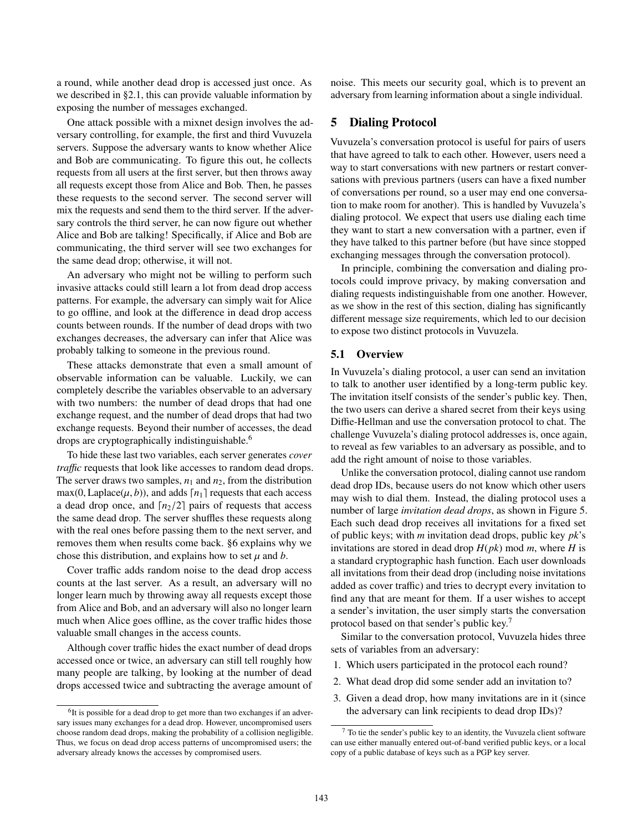a round, while another dead drop is accessed just once. As we described in [§2.1,](#page-1-2) this can provide valuable information by exposing the number of messages exchanged.

One attack possible with a mixnet design involves the adversary controlling, for example, the first and third Vuvuzela servers. Suppose the adversary wants to know whether Alice and Bob are communicating. To figure this out, he collects requests from all users at the first server, but then throws away all requests except those from Alice and Bob. Then, he passes these requests to the second server. The second server will mix the requests and send them to the third server. If the adversary controls the third server, he can now figure out whether Alice and Bob are talking! Specifically, if Alice and Bob are communicating, the third server will see two exchanges for the same dead drop; otherwise, it will not.

An adversary who might not be willing to perform such invasive attacks could still learn a lot from dead drop access patterns. For example, the adversary can simply wait for Alice to go offline, and look at the difference in dead drop access counts between rounds. If the number of dead drops with two exchanges decreases, the adversary can infer that Alice was probably talking to someone in the previous round.

These attacks demonstrate that even a small amount of observable information can be valuable. Luckily, we can completely describe the variables observable to an adversary with two numbers: the number of dead drops that had one exchange request, and the number of dead drops that had two exchange requests. Beyond their number of accesses, the dead drops are cryptographically indistinguishable.<sup>[6](#page-6-1)</sup>

To hide these last two variables, each server generates *cover traffic* requests that look like accesses to random dead drops. The server draws two samples,  $n_1$  and  $n_2$ , from the distribution  $max(0, Laplace(\mu, b))$ , and adds  $\lceil n_1 \rceil$  requests that each access a dead drop once, and  $\lceil n_2/2 \rceil$  pairs of requests that access the same dead drop. The server shuffles these requests along with the real ones before passing them to the next server, and removes them when results come back. [§6](#page-7-0) explains why we chose this distribution, and explains how to set  $\mu$  and  $b$ .

Cover traffic adds random noise to the dead drop access counts at the last server. As a result, an adversary will no longer learn much by throwing away all requests except those from Alice and Bob, and an adversary will also no longer learn much when Alice goes offline, as the cover traffic hides those valuable small changes in the access counts.

Although cover traffic hides the exact number of dead drops accessed once or twice, an adversary can still tell roughly how many people are talking, by looking at the number of dead drops accessed twice and subtracting the average amount of noise. This meets our security goal, which is to prevent an adversary from learning information about a single individual.

#### <span id="page-6-0"></span>5 Dialing Protocol

Vuvuzela's conversation protocol is useful for pairs of users that have agreed to talk to each other. However, users need a way to start conversations with new partners or restart conversations with previous partners (users can have a fixed number of conversations per round, so a user may end one conversation to make room for another). This is handled by Vuvuzela's dialing protocol. We expect that users use dialing each time they want to start a new conversation with a partner, even if they have talked to this partner before (but have since stopped exchanging messages through the conversation protocol).

In principle, combining the conversation and dialing protocols could improve privacy, by making conversation and dialing requests indistinguishable from one another. However, as we show in the rest of this section, dialing has significantly different message size requirements, which led to our decision to expose two distinct protocols in Vuvuzela.

#### 5.1 Overview

In Vuvuzela's dialing protocol, a user can send an invitation to talk to another user identified by a long-term public key. The invitation itself consists of the sender's public key. Then, the two users can derive a shared secret from their keys using Diffie-Hellman and use the conversation protocol to chat. The challenge Vuvuzela's dialing protocol addresses is, once again, to reveal as few variables to an adversary as possible, and to add the right amount of noise to those variables.

Unlike the conversation protocol, dialing cannot use random dead drop IDs, because users do not know which other users may wish to dial them. Instead, the dialing protocol uses a number of large *invitation dead drops*, as shown in Figure [5.](#page-7-1) Each such dead drop receives all invitations for a fixed set of public keys; with *m* invitation dead drops, public key *pk*'s invitations are stored in dead drop  $H(pk)$  mod *m*, where *H* is a standard cryptographic hash function. Each user downloads all invitations from their dead drop (including noise invitations added as cover traffic) and tries to decrypt every invitation to find any that are meant for them. If a user wishes to accept a sender's invitation, the user simply starts the conversation protocol based on that sender's public key.[7](#page-6-2)

Similar to the conversation protocol, Vuvuzela hides three sets of variables from an adversary:

- 1. Which users participated in the protocol each round?
- 2. What dead drop did some sender add an invitation to?
- 3. Given a dead drop, how many invitations are in it (since the adversary can link recipients to dead drop IDs)?

<span id="page-6-1"></span><sup>&</sup>lt;sup>6</sup>It is possible for a dead drop to get more than two exchanges if an adversary issues many exchanges for a dead drop. However, uncompromised users choose random dead drops, making the probability of a collision negligible. Thus, we focus on dead drop access patterns of uncompromised users; the adversary already knows the accesses by compromised users.

<span id="page-6-2"></span><sup>7</sup> To tie the sender's public key to an identity, the Vuvuzela client software can use either manually entered out-of-band verified public keys, or a local copy of a public database of keys such as a PGP key server.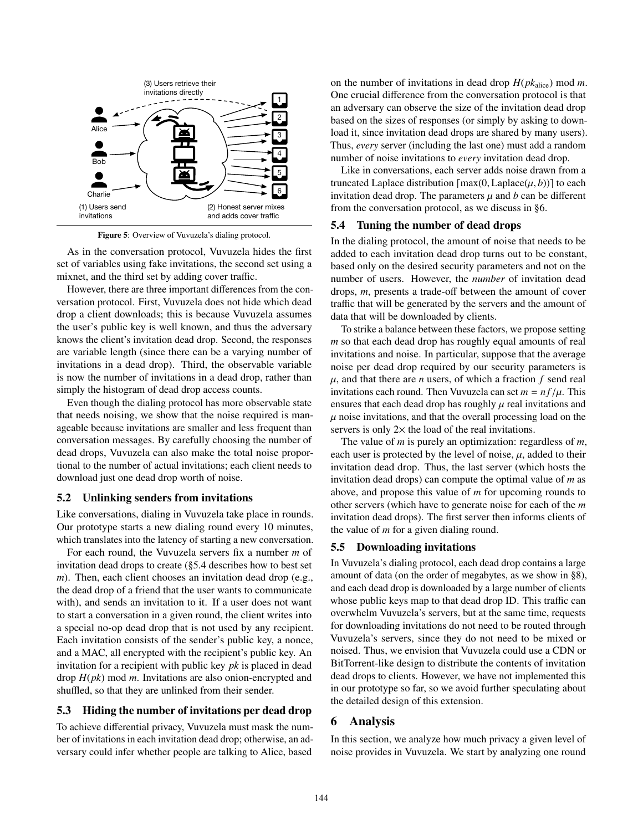

Figure 5: Overview of Vuvuzela's dialing protocol.

<span id="page-7-1"></span>As in the conversation protocol, Vuvuzela hides the first set of variables using fake invitations, the second set using a mixnet, and the third set by adding cover traffic.

However, there are three important differences from the conversation protocol. First, Vuvuzela does not hide which dead drop a client downloads; this is because Vuvuzela assumes the user's public key is well known, and thus the adversary knows the client's invitation dead drop. Second, the responses are variable length (since there can be a varying number of invitations in a dead drop). Third, the observable variable is now the number of invitations in a dead drop, rather than simply the histogram of dead drop access counts.

Even though the dialing protocol has more observable state that needs noising, we show that the noise required is manageable because invitations are smaller and less frequent than conversation messages. By carefully choosing the number of dead drops, Vuvuzela can also make the total noise proportional to the number of actual invitations; each client needs to download just one dead drop worth of noise.

#### 5.2 Unlinking senders from invitations

Like conversations, dialing in Vuvuzela take place in rounds. Our prototype starts a new dialing round every 10 minutes, which translates into the latency of starting a new conversation.

For each round, the Vuvuzela servers fix a number *m* of invitation dead drops to create [\(§5.4](#page-7-2) describes how to best set *m*). Then, each client chooses an invitation dead drop (e.g., the dead drop of a friend that the user wants to communicate with), and sends an invitation to it. If a user does not want to start a conversation in a given round, the client writes into a special no-op dead drop that is not used by any recipient. Each invitation consists of the sender's public key, a nonce, and a MAC, all encrypted with the recipient's public key. An invitation for a recipient with public key *pk* is placed in dead drop *H*(*pk*) mod *m*. Invitations are also onion-encrypted and shuffled, so that they are unlinked from their sender.

#### 5.3 Hiding the number of invitations per dead drop

To achieve differential privacy, Vuvuzela must mask the number of invitations in each invitation dead drop; otherwise, an adversary could infer whether people are talking to Alice, based

on the number of invitations in dead drop  $H(pk_{\text{alice}})$  mod *m*. One crucial difference from the conversation protocol is that an adversary can observe the size of the invitation dead drop based on the sizes of responses (or simply by asking to download it, since invitation dead drops are shared by many users). Thus, *every* server (including the last one) must add a random number of noise invitations to *every* invitation dead drop.

Like in conversations, each server adds noise drawn from a truncated Laplace distribution  $\lceil \max(0, \text{Laplace}(\mu, b)) \rceil$  to each invitation dead drop. The parameters  $\mu$  and  $b$  can be different from the conversation protocol, as we discuss in [§6.](#page-7-0)

#### <span id="page-7-2"></span>5.4 Tuning the number of dead drops

In the dialing protocol, the amount of noise that needs to be added to each invitation dead drop turns out to be constant, based only on the desired security parameters and not on the number of users. However, the *number* of invitation dead drops, *m*, presents a trade-off between the amount of cover traffic that will be generated by the servers and the amount of data that will be downloaded by clients.

To strike a balance between these factors, we propose setting *m* so that each dead drop has roughly equal amounts of real invitations and noise. In particular, suppose that the average noise per dead drop required by our security parameters is  $\mu$ , and that there are *n* users, of which a fraction  $f$  send real invitations each round. Then Vuvuzela can set  $m = nf/\mu$ . This ensures that each dead drop has roughly  $\mu$  real invitations and  $\mu$  noise invitations, and that the overall processing load on the servers is only  $2 \times$  the load of the real invitations.

The value of *m* is purely an optimization: regardless of *m*, each user is protected by the level of noise,  $\mu$ , added to their invitation dead drop. Thus, the last server (which hosts the invitation dead drops) can compute the optimal value of *m* as above, and propose this value of *m* for upcoming rounds to other servers (which have to generate noise for each of the *m* invitation dead drops). The first server then informs clients of the value of *m* for a given dialing round.

#### 5.5 Downloading invitations

In Vuvuzela's dialing protocol, each dead drop contains a large amount of data (on the order of megabytes, as we show in [§8\)](#page-10-0), and each dead drop is downloaded by a large number of clients whose public keys map to that dead drop ID. This traffic can overwhelm Vuvuzela's servers, but at the same time, requests for downloading invitations do not need to be routed through Vuvuzela's servers, since they do not need to be mixed or noised. Thus, we envision that Vuvuzela could use a CDN or BitTorrent-like design to distribute the contents of invitation dead drops to clients. However, we have not implemented this in our prototype so far, so we avoid further speculating about the detailed design of this extension.

#### <span id="page-7-0"></span>6 Analysis

In this section, we analyze how much privacy a given level of noise provides in Vuvuzela. We start by analyzing one round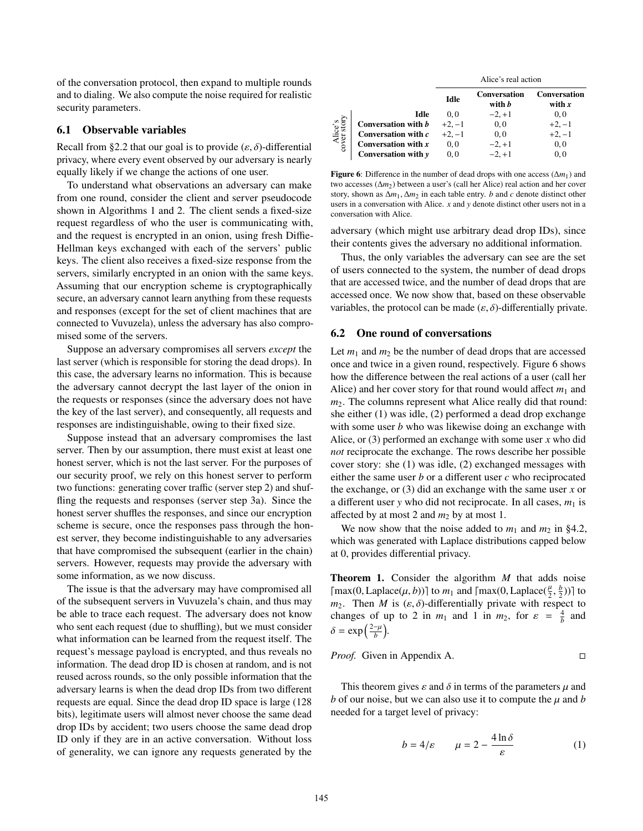of the conversation protocol, then expand to multiple rounds and to dialing. We also compute the noise required for realistic security parameters.

#### 6.1 Observable variables

Recall from [§2.2](#page-2-2) that our goal is to provide  $(\varepsilon, \delta)$ -differential privacy, where every event observed by our adversary is nearly equally likely if we change the actions of one user.

To understand what observations an adversary can make from one round, consider the client and server pseudocode shown in Algorithms [1](#page-5-0) and [2.](#page-5-1) The client sends a fixed-size request regardless of who the user is communicating with, and the request is encrypted in an onion, using fresh Diffie-Hellman keys exchanged with each of the servers' public keys. The client also receives a fixed-size response from the servers, similarly encrypted in an onion with the same keys. Assuming that our encryption scheme is cryptographically secure, an adversary cannot learn anything from these requests and responses (except for the set of client machines that are connected to Vuvuzela), unless the adversary has also compromised some of the servers.

Suppose an adversary compromises all servers *except* the last server (which is responsible for storing the dead drops). In this case, the adversary learns no information. This is because the adversary cannot decrypt the last layer of the onion in the requests or responses (since the adversary does not have the key of the last server), and consequently, all requests and responses are indistinguishable, owing to their fixed size.

Suppose instead that an adversary compromises the last server. Then by our assumption, there must exist at least one honest server, which is not the last server. For the purposes of our security proof, we rely on this honest server to perform two functions: generating cover traffic (server step 2) and shuffling the requests and responses (server step 3a). Since the honest server shuffles the responses, and since our encryption scheme is secure, once the responses pass through the honest server, they become indistinguishable to any adversaries that have compromised the subsequent (earlier in the chain) servers. However, requests may provide the adversary with some information, as we now discuss.

The issue is that the adversary may have compromised all of the subsequent servers in Vuvuzela's chain, and thus may be able to trace each request. The adversary does not know who sent each request (due to shuffling), but we must consider what information can be learned from the request itself. The request's message payload is encrypted, and thus reveals no information. The dead drop ID is chosen at random, and is not reused across rounds, so the only possible information that the adversary learns is when the dead drop IDs from two different requests are equal. Since the dead drop ID space is large (128 bits), legitimate users will almost never choose the same dead drop IDs by accident; two users choose the same dead drop ID only if they are in an active conversation. Without loss of generality, we can ignore any requests generated by the

|                        |                     | Alice's real action |                                      |                                 |
|------------------------|---------------------|---------------------|--------------------------------------|---------------------------------|
|                        |                     | <b>Idle</b>         | <b>Conversation</b><br>with <i>b</i> | <b>Conversation</b><br>with $x$ |
| Alice's<br>cover story | Idle                | 0.0                 | $-2, +1$                             | 0.0                             |
|                        | Conversation with b | $+2, -1$            | 0,0                                  | $+2, -1$                        |
|                        | Conversation with c | $+2, -1$            | 0.0                                  | $+2, -1$                        |
|                        | Conversation with x | 0.0                 | $-2, +1$                             | 0.0                             |
|                        | Conversation with y | 0.0                 | $-2, +1$                             | 0.0                             |
|                        |                     |                     |                                      |                                 |

<span id="page-8-0"></span>Figure 6: Difference in the number of dead drops with one access (∆*m*1) and two accesses (∆*m*2) between a user's (call her Alice) real action and her cover story, shown as <sup>∆</sup>*m*1, <sup>∆</sup>*m*<sup>2</sup> in each table entry. *<sup>b</sup>* and *<sup>c</sup>* denote distinct other users in a conversation with Alice. *x* and *y* denote distinct other users not in a conversation with Alice.

adversary (which might use arbitrary dead drop IDs), since their contents gives the adversary no additional information.

Thus, the only variables the adversary can see are the set of users connected to the system, the number of dead drops that are accessed twice, and the number of dead drops that are accessed once. We now show that, based on these observable variables, the protocol can be made  $(\varepsilon, \delta)$ -differentially private.

#### <span id="page-8-3"></span>6.2 One round of conversations

Let  $m_1$  and  $m_2$  be the number of dead drops that are accessed once and twice in a given round, respectively. [Figure 6](#page-8-0) shows how the difference between the real actions of a user (call her Alice) and her cover story for that round would affect  $m_1$  and *m*<sub>2</sub>. The columns represent what Alice really did that round: she either (1) was idle, (2) performed a dead drop exchange with some user *b* who was likewise doing an exchange with Alice, or (3) performed an exchange with some user *x* who did *not* reciprocate the exchange. The rows describe her possible cover story: she (1) was idle, (2) exchanged messages with either the same user *b* or a different user *c* who reciprocated the exchange, or (3) did an exchange with the same user *x* or a different user  $y$  who did not reciprocate. In all cases,  $m_1$  is affected by at most 2 and  $m_2$  by at most 1.

We now show that the noise added to  $m_1$  and  $m_2$  in [§4.2,](#page-5-3) which was generated with Laplace distributions capped below at 0, provides differential privacy.

<span id="page-8-1"></span>Theorem 1. Consider the algorithm *M* that adds noise  $\lceil \max(0, \text{Laplace}(\mu, b)) \rceil$  to  $m_1$  and  $\lceil \max(0, \text{Laplace}(\frac{\mu}{2}, \frac{b}{2})) \rceil$  to  $m_2$ . Then *M* is  $(s, \delta)$ -differentially private with respect to  $m_2$ . Then *M* is  $(\varepsilon, \delta)$ -differentially private with respect to changes of up to 2 in *m*, and 1 in *m*, for  $\varepsilon = \frac{4}{3}$  and changes of up to 2 in  $m_1$  and 1 in  $m_2$ , for  $\varepsilon = \frac{4}{b}$  and  $\delta = \exp\left(\frac{2-\mu}{b}\right).$ 

*Proof.* Given in Appendix [A.](#page-14-1) □

<span id="page-8-2"></span>This theorem gives  $\varepsilon$  and  $\delta$  in terms of the parameters  $\mu$  and *b* of our noise, but we can also use it to compute the  $\mu$  and *b* needed for a target level of privacy:

$$
b = 4/\varepsilon \qquad \mu = 2 - \frac{4\ln\delta}{\varepsilon} \tag{1}
$$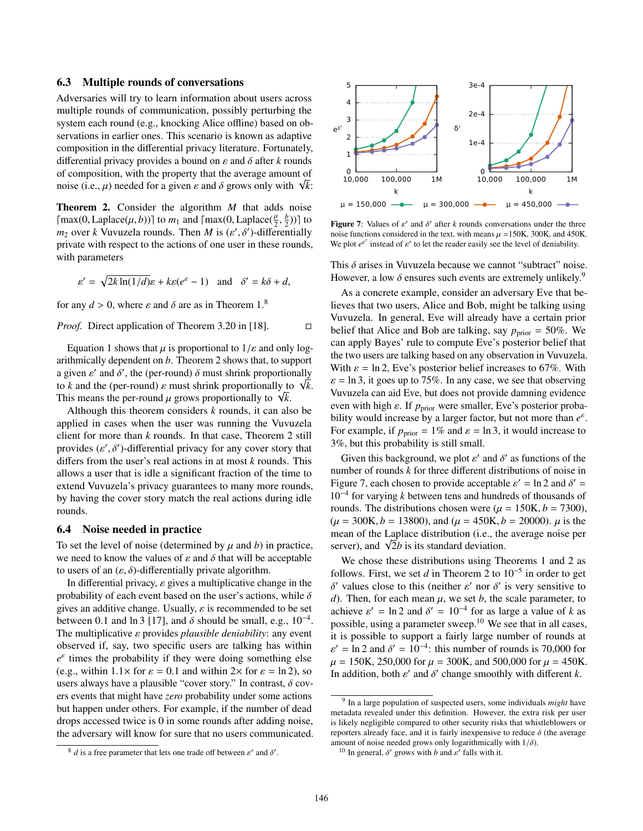#### 6.3 Multiple rounds of conversations

Adversaries will try to learn information about users across multiple rounds of communication, possibly perturbing the system each round (e.g., knocking Alice offline) based on observations in earlier ones. This scenario is known as adaptive composition in the differential privacy literature. Fortunately, differential privacy provides a bound on ε and δ after *<sup>k</sup>* rounds of composition, with the property that the average amount of or composition, with the property that the average amount of noise (i.e.,  $\mu$ ) needed for a given  $\varepsilon$  and  $\delta$  grows only with  $\sqrt{k}$ :

<span id="page-9-1"></span>Theorem 2. Consider the algorithm *M* that adds noise  $\left[\max(0, \text{Laplace}(\mu, b))\right]$  to  $m_1$  and  $\left[\max(0, \text{Laplace}(\frac{\mu}{2}, \frac{b}{2}))\right]$  to  $m_2$  over k Vuyuzela rounds. Then M is  $(e', e')$ -differentially  $m_2$  over *k* Vuvuzela rounds. Then *M* is  $(\varepsilon', \delta')$ -differentially<br>private with respect to the actions of one user in these rounds private with respect to the actions of one user in these rounds, with parameters

$$
\varepsilon' = \sqrt{2k \ln(1/d)} \varepsilon + k\varepsilon (e^{\varepsilon} - 1) \quad \text{and} \quad \delta' = k\delta + d,
$$

for any  $d > 0$ , where  $\varepsilon$  and  $\delta$  are as in Theorem [1.](#page-8-1)<sup>[8](#page-9-0)</sup>

*Proof.* Direct application of Theorem 3.20 in [\[18\]](#page-15-9). □

[Equation 1](#page-8-2) shows that  $\mu$  is proportional to  $1/\varepsilon$  and only logarithmically dependent on *b*. [Theorem 2](#page-9-1) shows that, to support a given  $\varepsilon'$  and  $\delta'$ , the (per-round)  $\delta$  must shrink proportionally to  $\sqrt{k}$ <br>to k and the (per-round)  $\varepsilon$  must shrink proportionally to  $\sqrt{k}$ a given  $\varepsilon^c$  and  $\delta^c$ , the (per-round)  $\delta$  must shrink proportionally to  $\sqrt{k}$ .<br>
This means the ner-round  $\mu$  grows proportionally to  $\sqrt{k}$ . This means the per-round  $\ell$  must shrink proportionally to  $\sqrt{k}$ .<br>Although this theorem considers  $k$  rounds it can also

Although this theorem considers *k* rounds, it can also be applied in cases when the user was running the Vuvuzela client for more than *k* rounds. In that case, [Theorem 2](#page-9-1) still provides  $(\varepsilon', \delta')$ -differential privacy for any cover story that different from the user's real actions in at most k rounds. This differs from the user's real actions in at most *k* rounds. This allows a user that is idle a significant fraction of the time to extend Vuvuzela's privacy guarantees to many more rounds, by having the cover story match the real actions during idle rounds.

#### 6.4 Noise needed in practice

To set the level of noise (determined by  $\mu$  and  $\phi$ ) in practice, we need to know the values of  $\varepsilon$  and  $\delta$  that will be acceptable to users of an  $(\varepsilon, \delta)$ -differentially private algorithm.

In differential privacy,  $\varepsilon$  gives a multiplicative change in the probability of each event based on the user's actions, while  $\delta$ gives an additive change. Usually,  $\varepsilon$  is recommended to be set between 0.1 and ln 3 [\[17\]](#page-15-10), and  $\delta$  should be small, e.g.,  $10^{-4}$ .<br>The multiplicative s provides playsible depichility; any event The multiplicative ε provides *plausible deniability*: any event observed if, say, two specific users are talking has within *e* ε times the probability if they were doing something else (e.g., within  $1.1 \times$  for  $\varepsilon = 0.1$  and within  $2 \times$  for  $\varepsilon = \ln 2$ ), so users always have a plausible "cover story." In contrast,  $\delta$  covers events that might have *zero* probability under some actions but happen under others. For example, if the number of dead drops accessed twice is 0 in some rounds after adding noise, the adversary will know for sure that no users communicated.



<span id="page-9-3"></span>**Figure 7:** Values of  $\varepsilon'$  and  $\delta'$  after *k* rounds conversations under the three noise functions considered in the text, with means  $\mu = 150K$ , 300K, and 450K. noise functions considered in the text, with means  $\mu$  =150K, 300K, and 450K. We plot  $e^{e'}$  instead of  $e'$  to let the reader easily see the level of deniability.

This  $\delta$  arises in Vuvuzela because we cannot "subtract" noise. However, a low  $\delta$  ensures such events are extremely unlikely.<sup>[9](#page-9-2)</sup>

As a concrete example, consider an adversary Eve that believes that two users, Alice and Bob, might be talking using Vuvuzela. In general, Eve will already have a certain prior belief that Alice and Bob are talking, say  $p_{prior} = 50\%$ . We can apply Bayes' rule to compute Eve's posterior belief that the two users are talking based on any observation in Vuvuzela. With  $\varepsilon = \ln 2$ , Eve's posterior belief increases to 67%. With  $\epsilon = \ln 3$ , it goes up to 75%. In any case, we see that observing Vuvuzela can aid Eve, but does not provide damning evidence even with high  $\varepsilon$ . If  $p_{prior}$  were smaller, Eve's posterior probability would increase by a larger factor, but not more than  $e^{\varepsilon}$ . For example, if  $p_{prior} = 1\%$  and  $\varepsilon = \ln 3$ , it would increase to 3%, but this probability is still small.

Given this background, we plot  $\varepsilon'$  and  $\delta'$  as functions of the mber of rounds *k* for three different distributions of noise in number of rounds *k* for three different distributions of noise in Figure [7,](#page-9-3) each chosen to provide acceptable  $\varepsilon' = \ln 2$  and  $\delta' = 10^{-4}$  for varying k between tens and hundreds of thousands of 10−<sup>4</sup> for varying *k* between tens and hundreds of thousands of rounds. The distributions chosen were ( $\mu = 150$ K,  $b = 7300$ ),  $(\mu = 300K, b = 13800)$ , and  $(\mu = 450K, b = 20000)$ .  $\mu$  is the mean of the Laplace distribution (i.e., the average noise per mean of the Laplace distribution (i.e., the server), and  $\sqrt{2}b$  is its standard deviation.

We chose these distributions using Theorems [1](#page-8-1) and [2](#page-9-1) as follows. First, we set *d* in Theorem [2](#page-9-1) to  $10^{-5}$  in order to get *d*). Then, for each mean  $\mu$ , we set *b*, the scale parameter, to achieve  $s' = \ln 2$  and  $\delta' = 10^{-4}$  for as large a value of *k* as ' values close to this (neither  $ε'$  nor  $δ'$  is very sensitive to  $\Omega$ . Then for each mean  $\mu$ , we set h, the scale parameter to achieve  $\varepsilon' = \ln 2$  and  $\delta' = 10^{-4}$  for as large a value of *k* as not as not a parameter sweep  $^{10}$  We see that in all cases possible, using a parameter sweep.<sup>[10](#page-9-4)</sup> We see that in all cases, it is possible to support a fairly large number of rounds at  $\mu = 150$ K, 250,000 for  $\mu = 300$ K, and 500,000 for  $\mu = 450$ K.<br>In addition, both s' and s' change smoothly with different k  $\gamma' = \ln 2$  and  $\delta' = 10^{-4}$ ; this number of rounds is 70,000 for  $\delta = 150K$  250,000 for  $\mu = 300K$  and 500,000 for  $\mu = 450K$ In addition, both  $\varepsilon'$  and  $\delta'$  change smoothly with different *k*.

<span id="page-9-2"></span><sup>9</sup> In a large population of suspected users, some individuals *might* have metadata revealed under this definition. However, the extra risk per user is likely negligible compared to other security risks that whistleblowers or reporters already face, and it is fairly inexpensive to reduce  $\delta$  (the average amount of noise needed grows only logarithmically with  $1/\delta$ ).

<span id="page-9-0"></span><sup>&</sup>lt;sup>8</sup> *d* is a free parameter that lets one trade off between  $\varepsilon'$  and  $\delta'$ .

<span id="page-9-4"></span><sup>&</sup>lt;sup>10</sup> In general,  $\delta'$  grows with *b* and  $\varepsilon'$  falls with it.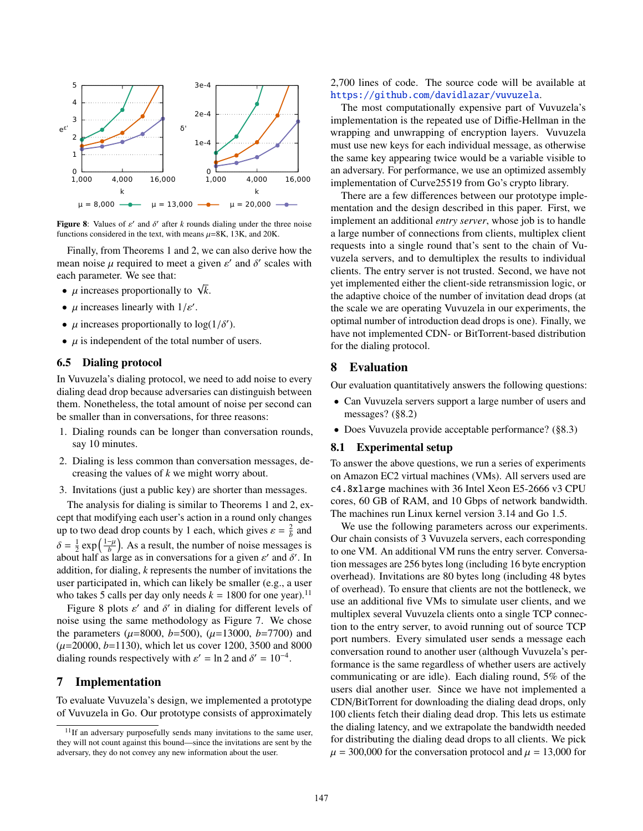

<span id="page-10-2"></span>**Figure 8:** Values of  $\varepsilon'$  and  $\delta'$  after *k* rounds dialing under the three noise functions considered in the text with means  $u = 8K - 13K$  and  $20K$ functions considered in the text, with means  $\mu$ =8K, 13K, and 20K.

Finally, from Theorems [1](#page-8-1) and [2,](#page-9-1) we can also derive how the mean noise  $\mu$  required to meet a given  $\varepsilon'$  and  $\delta'$  scales with each parameter. We see that: each parameter. We see that:

- $\mu$  increases proportionally to  $\sqrt{k}$ .
- $\mu$  increases linearly with  $1/\varepsilon'$ .
- $\mu$  increases proportionally to log(1/ $\delta'$ ).
- $\mu$  is independent of the total number of users.

## 6.5 Dialing protocol

In Vuvuzela's dialing protocol, we need to add noise to every dialing dead drop because adversaries can distinguish between them. Nonetheless, the total amount of noise per second can be smaller than in conversations, for three reasons:

- 1. Dialing rounds can be longer than conversation rounds, say 10 minutes.
- 2. Dialing is less common than conversation messages, decreasing the values of *k* we might worry about.
- 3. Invitations (just a public key) are shorter than messages.

The analysis for dialing is similar to Theorems [1](#page-8-1) and [2,](#page-9-1) except that modifying each user's action in a round only changes up to two dead drop counts by 1 each, which gives  $\varepsilon = \frac{2}{b}$  and  $\delta = \frac{1}{2} \exp\left(\frac{1-\mu}{b}\right)$ . As a result, the number of noise messages is about half as large as in conversations for a given s' and  $\delta'$ . In about half as large as in conversations for a given  $\varepsilon'$  and  $\delta'$ . In addition, for dialing k represents the number of invitations the addition, for dialing, *k* represents the number of invitations the user participated in, which can likely be smaller (e.g., a user who takes 5 calls per day only needs  $k = 1800$  for one year).<sup>[11](#page-10-1)</sup>

Figure [8](#page-10-2) plots  $\varepsilon'$  and  $\delta'$  in dialing for different levels of ise using the same methodology as Figure 7. We chose noise using the same methodology as Figure [7.](#page-9-3) We chose the parameters ( $\mu$ =8000, *b*=500), ( $\mu$ =13000, *b*=7700) and (µ=20000, *<sup>b</sup>*=1130), which let us cover 1200, 3500 and 8000 dialing rounds respectively with  $\varepsilon' = \ln 2$  and  $\delta' = 10^{-4}$ .

## 7 Implementation

To evaluate Vuvuzela's design, we implemented a prototype of Vuvuzela in Go. Our prototype consists of approximately 2,700 lines of code. The source code will be available at <https://github.com/davidlazar/vuvuzela>.

The most computationally expensive part of Vuvuzela's implementation is the repeated use of Diffie-Hellman in the wrapping and unwrapping of encryption layers. Vuvuzela must use new keys for each individual message, as otherwise the same key appearing twice would be a variable visible to an adversary. For performance, we use an optimized assembly implementation of Curve25519 from Go's crypto library.

There are a few differences between our prototype implementation and the design described in this paper. First, we implement an additional *entry server*, whose job is to handle a large number of connections from clients, multiplex client requests into a single round that's sent to the chain of Vuvuzela servers, and to demultiplex the results to individual clients. The entry server is not trusted. Second, we have not yet implemented either the client-side retransmission logic, or the adaptive choice of the number of invitation dead drops (at the scale we are operating Vuvuzela in our experiments, the optimal number of introduction dead drops is one). Finally, we have not implemented CDN- or BitTorrent-based distribution for the dialing protocol.

#### <span id="page-10-0"></span>8 Evaluation

Our evaluation quantitatively answers the following questions:

- Can Vuvuzela servers support a large number of users and messages? ([§8.2\)](#page-11-0)
- Does Vuvuzela provide acceptable performance? ([§8.3\)](#page-12-0)

#### 8.1 Experimental setup

To answer the above questions, we run a series of experiments on Amazon EC2 virtual machines (VMs). All servers used are c4.8xlarge machines with 36 Intel Xeon E5-2666 v3 CPU cores, 60 GB of RAM, and 10 Gbps of network bandwidth. The machines run Linux kernel version 3.14 and Go 1.5.

We use the following parameters across our experiments. Our chain consists of 3 Vuvuzela servers, each corresponding to one VM. An additional VM runs the entry server. Conversation messages are 256 bytes long (including 16 byte encryption overhead). Invitations are 80 bytes long (including 48 bytes of overhead). To ensure that clients are not the bottleneck, we use an additional five VMs to simulate user clients, and we multiplex several Vuvuzela clients onto a single TCP connection to the entry server, to avoid running out of source TCP port numbers. Every simulated user sends a message each conversation round to another user (although Vuvuzela's performance is the same regardless of whether users are actively communicating or are idle). Each dialing round, 5% of the users dial another user. Since we have not implemented a CDN/BitTorrent for downloading the dialing dead drops, only 100 clients fetch their dialing dead drop. This lets us estimate the dialing latency, and we extrapolate the bandwidth needed for distributing the dialing dead drops to all clients. We pick  $\mu$  = 300,000 for the conversation protocol and  $\mu$  = 13,000 for

<span id="page-10-1"></span> $11$ If an adversary purposefully sends many invitations to the same user, they will not count against this bound—since the invitations are sent by the adversary, they do not convey any new information about the user.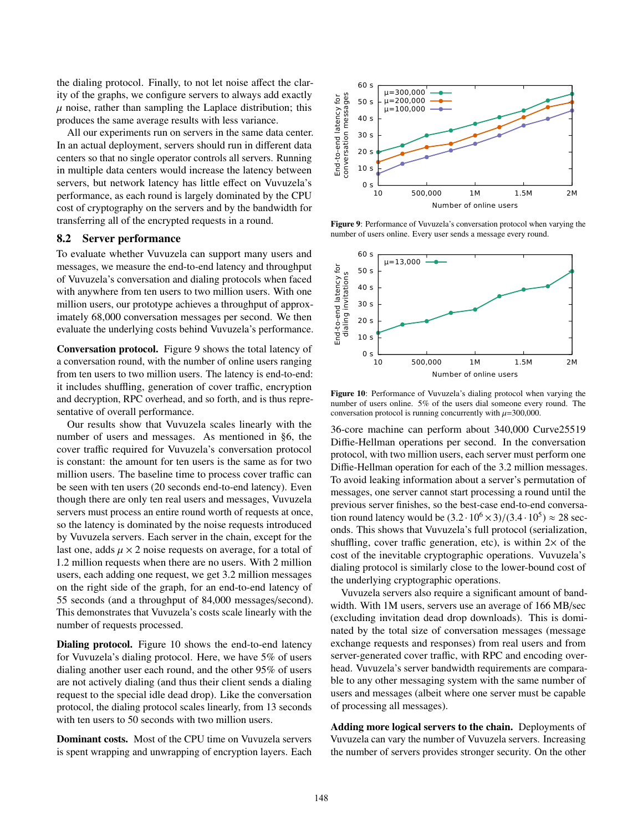the dialing protocol. Finally, to not let noise affect the clarity of the graphs, we configure servers to always add exactly  $\mu$  noise, rather than sampling the Laplace distribution; this produces the same average results with less variance.

All our experiments run on servers in the same data center. In an actual deployment, servers should run in different data centers so that no single operator controls all servers. Running in multiple data centers would increase the latency between servers, but network latency has little effect on Vuvuzela's performance, as each round is largely dominated by the CPU cost of cryptography on the servers and by the bandwidth for transferring all of the encrypted requests in a round.

## <span id="page-11-0"></span>8.2 Server performance

To evaluate whether Vuvuzela can support many users and messages, we measure the end-to-end latency and throughput of Vuvuzela's conversation and dialing protocols when faced with anywhere from ten users to two million users. With one million users, our prototype achieves a throughput of approximately 68,000 conversation messages per second. We then evaluate the underlying costs behind Vuvuzela's performance.

Conversation protocol. Figure [9](#page-11-1) shows the total latency of a conversation round, with the number of online users ranging from ten users to two million users. The latency is end-to-end: it includes shuffling, generation of cover traffic, encryption and decryption, RPC overhead, and so forth, and is thus representative of overall performance.

Our results show that Vuvuzela scales linearly with the number of users and messages. As mentioned in [§6,](#page-7-0) the cover traffic required for Vuvuzela's conversation protocol is constant: the amount for ten users is the same as for two million users. The baseline time to process cover traffic can be seen with ten users (20 seconds end-to-end latency). Even though there are only ten real users and messages, Vuvuzela servers must process an entire round worth of requests at once, so the latency is dominated by the noise requests introduced by Vuvuzela servers. Each server in the chain, except for the last one, adds  $\mu \times 2$  noise requests on average, for a total of <sup>1</sup>.2 million requests when there are no users. With 2 million users, each adding one request, we get 3.2 million messages on the right side of the graph, for an end-to-end latency of 55 seconds (and a throughput of 84,000 messages/second). This demonstrates that Vuvuzela's costs scale linearly with the number of requests processed.

Dialing protocol. Figure [10](#page-11-2) shows the end-to-end latency for Vuvuzela's dialing protocol. Here, we have 5% of users dialing another user each round, and the other 95% of users are not actively dialing (and thus their client sends a dialing request to the special idle dead drop). Like the conversation protocol, the dialing protocol scales linearly, from 13 seconds with ten users to 50 seconds with two million users.

Dominant costs. Most of the CPU time on Vuvuzela servers is spent wrapping and unwrapping of encryption layers. Each



<span id="page-11-1"></span>Figure 9: Performance of Vuvuzela's conversation protocol when varying the number of users online. Every user sends a message every round.



<span id="page-11-2"></span>Figure 10: Performance of Vuvuzela's dialing protocol when varying the number of users online. 5% of the users dial someone every round. The conversation protocol is running concurrently with  $\mu$ =300,000.

36-core machine can perform about 340,000 Curve25519 Diffie-Hellman operations per second. In the conversation protocol, with two million users, each server must perform one Diffie-Hellman operation for each of the 3.2 million messages. To avoid leaking information about a server's permutation of messages, one server cannot start processing a round until the previous server finishes, so the best-case end-to-end conversation round latency would be  $(3.2 \cdot 10^6 \times 3)/(3.4 \cdot 10^5) \approx 28$  seconds. This shows that Vuyuzela's full protocol (serialization) onds. This shows that Vuvuzela's full protocol (serialization, shuffling, cover traffic generation, etc), is within  $2 \times$  of the cost of the inevitable cryptographic operations. Vuvuzela's dialing protocol is similarly close to the lower-bound cost of the underlying cryptographic operations.

Vuvuzela servers also require a significant amount of bandwidth. With 1M users, servers use an average of 166 MB/sec (excluding invitation dead drop downloads). This is dominated by the total size of conversation messages (message exchange requests and responses) from real users and from server-generated cover traffic, with RPC and encoding overhead. Vuvuzela's server bandwidth requirements are comparable to any other messaging system with the same number of users and messages (albeit where one server must be capable of processing all messages).

Adding more logical servers to the chain. Deployments of Vuvuzela can vary the number of Vuvuzela servers. Increasing the number of servers provides stronger security. On the other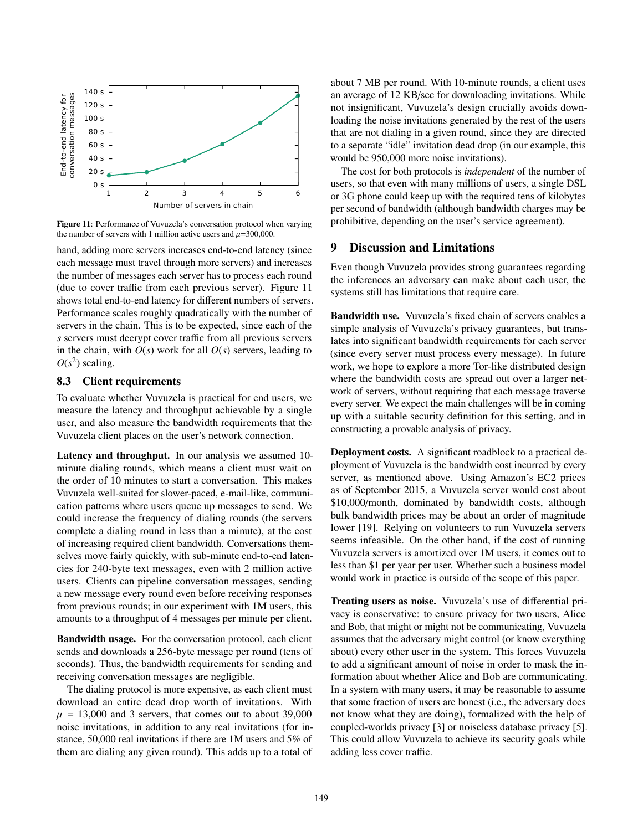

<span id="page-12-1"></span>Figure 11: Performance of Vuvuzela's conversation protocol when varying the number of servers with 1 million active users and  $\mu$ =300,000.

hand, adding more servers increases end-to-end latency (since each message must travel through more servers) and increases the number of messages each server has to process each round (due to cover traffic from each previous server). Figure [11](#page-12-1) shows total end-to-end latency for different numbers of servers. Performance scales roughly quadratically with the number of servers in the chain. This is to be expected, since each of the *s* servers must decrypt cover traffic from all previous servers in the chain, with  $O(s)$  work for all  $O(s)$  servers, leading to  $O(s^2)$  scaling.

#### <span id="page-12-0"></span>8.3 Client requirements

To evaluate whether Vuvuzela is practical for end users, we measure the latency and throughput achievable by a single user, and also measure the bandwidth requirements that the Vuvuzela client places on the user's network connection.

Latency and throughput. In our analysis we assumed 10 minute dialing rounds, which means a client must wait on the order of 10 minutes to start a conversation. This makes Vuvuzela well-suited for slower-paced, e-mail-like, communication patterns where users queue up messages to send. We could increase the frequency of dialing rounds (the servers complete a dialing round in less than a minute), at the cost of increasing required client bandwidth. Conversations themselves move fairly quickly, with sub-minute end-to-end latencies for 240-byte text messages, even with 2 million active users. Clients can pipeline conversation messages, sending a new message every round even before receiving responses from previous rounds; in our experiment with 1M users, this amounts to a throughput of 4 messages per minute per client.

Bandwidth usage. For the conversation protocol, each client sends and downloads a 256-byte message per round (tens of seconds). Thus, the bandwidth requirements for sending and receiving conversation messages are negligible.

The dialing protocol is more expensive, as each client must download an entire dead drop worth of invitations. With  $\mu$  = 13,000 and 3 servers, that comes out to about 39,000 noise invitations, in addition to any real invitations (for instance, 50,000 real invitations if there are 1M users and 5% of them are dialing any given round). This adds up to a total of

about 7 MB per round. With 10-minute rounds, a client uses an average of 12 KB/sec for downloading invitations. While not insignificant, Vuvuzela's design crucially avoids downloading the noise invitations generated by the rest of the users that are not dialing in a given round, since they are directed to a separate "idle" invitation dead drop (in our example, this would be 950,000 more noise invitations).

The cost for both protocols is *independent* of the number of users, so that even with many millions of users, a single DSL or 3G phone could keep up with the required tens of kilobytes per second of bandwidth (although bandwidth charges may be prohibitive, depending on the user's service agreement).

# 9 Discussion and Limitations

Even though Vuvuzela provides strong guarantees regarding the inferences an adversary can make about each user, the systems still has limitations that require care.

Bandwidth use. Vuvuzela's fixed chain of servers enables a simple analysis of Vuvuzela's privacy guarantees, but translates into significant bandwidth requirements for each server (since every server must process every message). In future work, we hope to explore a more Tor-like distributed design where the bandwidth costs are spread out over a larger network of servers, without requiring that each message traverse every server. We expect the main challenges will be in coming up with a suitable security definition for this setting, and in constructing a provable analysis of privacy.

Deployment costs. A significant roadblock to a practical deployment of Vuvuzela is the bandwidth cost incurred by every server, as mentioned above. Using Amazon's EC2 prices as of September 2015, a Vuvuzela server would cost about \$10,000/month, dominated by bandwidth costs, although bulk bandwidth prices may be about an order of magnitude lower [\[19\]](#page-15-12). Relying on volunteers to run Vuvuzela servers seems infeasible. On the other hand, if the cost of running Vuvuzela servers is amortized over 1M users, it comes out to less than \$1 per year per user. Whether such a business model would work in practice is outside of the scope of this paper.

Treating users as noise. Vuvuzela's use of differential privacy is conservative: to ensure privacy for two users, Alice and Bob, that might or might not be communicating, Vuvuzela assumes that the adversary might control (or know everything about) every other user in the system. This forces Vuvuzela to add a significant amount of noise in order to mask the information about whether Alice and Bob are communicating. In a system with many users, it may be reasonable to assume that some fraction of users are honest (i.e., the adversary does not know what they are doing), formalized with the help of coupled-worlds privacy [\[3\]](#page-15-13) or noiseless database privacy [\[5\]](#page-15-14). This could allow Vuvuzela to achieve its security goals while adding less cover traffic.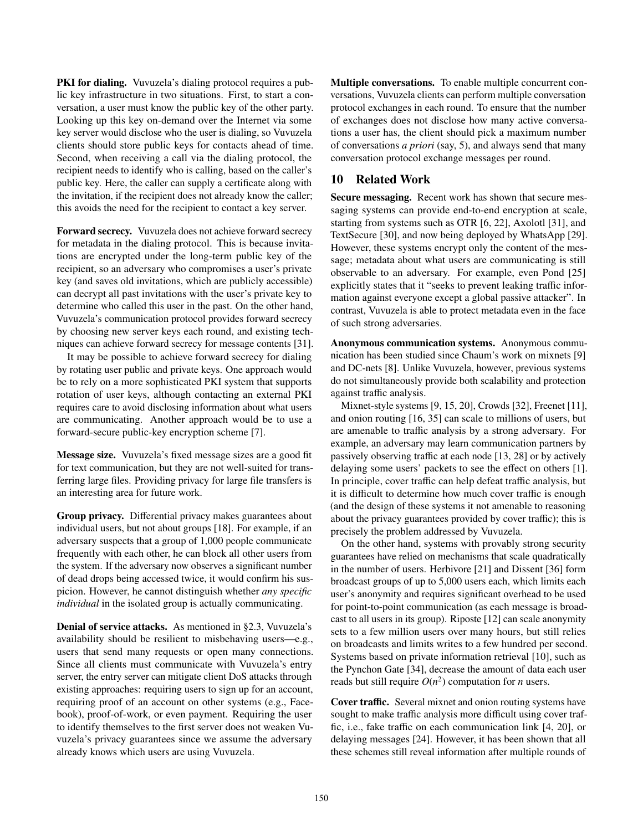**PKI for dialing.** Vuvuzela's dialing protocol requires a public key infrastructure in two situations. First, to start a conversation, a user must know the public key of the other party. Looking up this key on-demand over the Internet via some key server would disclose who the user is dialing, so Vuvuzela clients should store public keys for contacts ahead of time. Second, when receiving a call via the dialing protocol, the recipient needs to identify who is calling, based on the caller's public key. Here, the caller can supply a certificate along with the invitation, if the recipient does not already know the caller; this avoids the need for the recipient to contact a key server.

Forward secrecy. Vuvuzela does not achieve forward secrecy for metadata in the dialing protocol. This is because invitations are encrypted under the long-term public key of the recipient, so an adversary who compromises a user's private key (and saves old invitations, which are publicly accessible) can decrypt all past invitations with the user's private key to determine who called this user in the past. On the other hand, Vuvuzela's communication protocol provides forward secrecy by choosing new server keys each round, and existing techniques can achieve forward secrecy for message contents [\[31\]](#page-15-15).

It may be possible to achieve forward secrecy for dialing by rotating user public and private keys. One approach would be to rely on a more sophisticated PKI system that supports rotation of user keys, although contacting an external PKI requires care to avoid disclosing information about what users are communicating. Another approach would be to use a forward-secure public-key encryption scheme [\[7\]](#page-15-16).

Message size. Vuvuzela's fixed message sizes are a good fit for text communication, but they are not well-suited for transferring large files. Providing privacy for large file transfers is an interesting area for future work.

Group privacy. Differential privacy makes guarantees about individual users, but not about groups [\[18\]](#page-15-9). For example, if an adversary suspects that a group of 1,000 people communicate frequently with each other, he can block all other users from the system. If the adversary now observes a significant number of dead drops being accessed twice, it would confirm his suspicion. However, he cannot distinguish whether *any specific individual* in the isolated group is actually communicating.

Denial of service attacks. As mentioned in [§2.3,](#page-3-2) Vuvuzela's availability should be resilient to misbehaving users—e.g., users that send many requests or open many connections. Since all clients must communicate with Vuvuzela's entry server, the entry server can mitigate client DoS attacks through existing approaches: requiring users to sign up for an account, requiring proof of an account on other systems (e.g., Facebook), proof-of-work, or even payment. Requiring the user to identify themselves to the first server does not weaken Vuvuzela's privacy guarantees since we assume the adversary already knows which users are using Vuvuzela.

Multiple conversations. To enable multiple concurrent conversations, Vuvuzela clients can perform multiple conversation protocol exchanges in each round. To ensure that the number of exchanges does not disclose how many active conversations a user has, the client should pick a maximum number of conversations *a priori* (say, 5), and always send that many conversation protocol exchange messages per round.

# 10 Related Work

Secure messaging. Recent work has shown that secure messaging systems can provide end-to-end encryption at scale, starting from systems such as OTR [\[6,](#page-15-17) [22\]](#page-15-18), Axolotl [\[31\]](#page-15-15), and TextSecure [\[30\]](#page-15-19), and now being deployed by WhatsApp [\[29\]](#page-15-20). However, these systems encrypt only the content of the message; metadata about what users are communicating is still observable to an adversary. For example, even Pond [\[25\]](#page-15-21) explicitly states that it "seeks to prevent leaking traffic information against everyone except a global passive attacker". In contrast, Vuvuzela is able to protect metadata even in the face of such strong adversaries.

Anonymous communication systems. Anonymous communication has been studied since Chaum's work on mixnets [\[9\]](#page-15-6) and DC-nets [\[8\]](#page-15-22). Unlike Vuvuzela, however, previous systems do not simultaneously provide both scalability and protection against traffic analysis.

Mixnet-style systems [\[9,](#page-15-6) [15,](#page-15-23) [20\]](#page-15-24), Crowds [\[32\]](#page-15-25), Freenet [\[11\]](#page-15-26), and onion routing [\[16,](#page-15-5) [35\]](#page-15-27) can scale to millions of users, but are amenable to traffic analysis by a strong adversary. For example, an adversary may learn communication partners by passively observing traffic at each node [\[13,](#page-15-28) [28\]](#page-15-29) or by actively delaying some users' packets to see the effect on others [\[1\]](#page-14-0). In principle, cover traffic can help defeat traffic analysis, but it is difficult to determine how much cover traffic is enough (and the design of these systems it not amenable to reasoning about the privacy guarantees provided by cover traffic); this is precisely the problem addressed by Vuvuzela.

On the other hand, systems with provably strong security guarantees have relied on mechanisms that scale quadratically in the number of users. Herbivore [\[21\]](#page-15-30) and Dissent [\[36\]](#page-15-0) form broadcast groups of up to 5,000 users each, which limits each user's anonymity and requires significant overhead to be used for point-to-point communication (as each message is broadcast to all users in its group). Riposte [\[12\]](#page-15-3) can scale anonymity sets to a few million users over many hours, but still relies on broadcasts and limits writes to a few hundred per second. Systems based on private information retrieval [\[10\]](#page-15-31), such as the Pynchon Gate [\[34\]](#page-15-4), decrease the amount of data each user reads but still require  $O(n^2)$  computation for *n* users.

Cover traffic. Several mixnet and onion routing systems have sought to make traffic analysis more difficult using cover traffic, i.e., fake traffic on each communication link [\[4,](#page-15-32) [20\]](#page-15-24), or delaying messages [\[24\]](#page-15-33). However, it has been shown that all these schemes still reveal information after multiple rounds of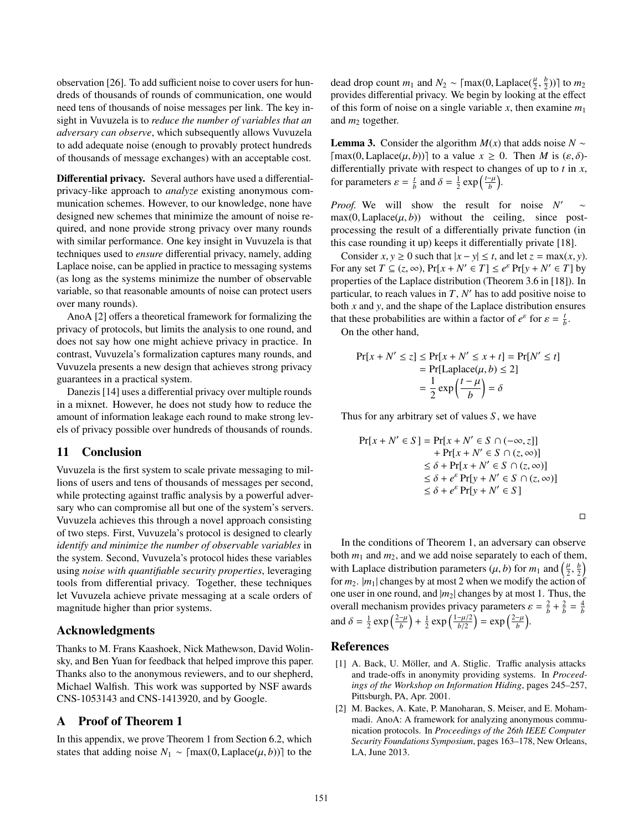observation [\[26\]](#page-15-8). To add sufficient noise to cover users for hundreds of thousands of rounds of communication, one would need tens of thousands of noise messages per link. The key insight in Vuvuzela is to *reduce the number of variables that an adversary can observe*, which subsequently allows Vuvuzela to add adequate noise (enough to provably protect hundreds of thousands of message exchanges) with an acceptable cost.

Differential privacy. Several authors have used a differentialprivacy-like approach to *analyze* existing anonymous communication schemes. However, to our knowledge, none have designed new schemes that minimize the amount of noise required, and none provide strong privacy over many rounds with similar performance. One key insight in Vuvuzela is that techniques used to *ensure* differential privacy, namely, adding Laplace noise, can be applied in practice to messaging systems (as long as the systems minimize the number of observable variable, so that reasonable amounts of noise can protect users over many rounds).

AnoA [\[2\]](#page-14-2) offers a theoretical framework for formalizing the privacy of protocols, but limits the analysis to one round, and does not say how one might achieve privacy in practice. In contrast, Vuvuzela's formalization captures many rounds, and Vuvuzela presents a new design that achieves strong privacy guarantees in a practical system.

Danezis [\[14\]](#page-15-7) uses a differential privacy over multiple rounds in a mixnet. However, he does not study how to reduce the amount of information leakage each round to make strong levels of privacy possible over hundreds of thousands of rounds.

## 11 Conclusion

Vuvuzela is the first system to scale private messaging to millions of users and tens of thousands of messages per second, while protecting against traffic analysis by a powerful adversary who can compromise all but one of the system's servers. Vuvuzela achieves this through a novel approach consisting of two steps. First, Vuvuzela's protocol is designed to clearly *identify and minimize the number of observable variables* in the system. Second, Vuvuzela's protocol hides these variables using *noise with quantifiable security properties*, leveraging tools from differential privacy. Together, these techniques let Vuvuzela achieve private messaging at a scale orders of magnitude higher than prior systems.

## Acknowledgments

Thanks to M. Frans Kaashoek, Nick Mathewson, David Wolinsky, and Ben Yuan for feedback that helped improve this paper. Thanks also to the anonymous reviewers, and to our shepherd, Michael Walfish. This work was supported by NSF awards CNS-1053143 and CNS-1413920, and by Google.

## <span id="page-14-1"></span>A Proof of Theorem [1](#page-8-1)

In this appendix, we prove Theorem [1](#page-8-1) from Section [6.2,](#page-8-3) which states that adding noise  $N_1 \sim \lceil \max(0, \text{Laplace}(\mu, b)) \rceil$  to the

dead drop count  $m_1$  and  $N_2 \sim [\max(0, \text{Laplace}(\frac{\mu}{2}, \frac{\nu}{2}))]$  to  $m_2$ <br>provides differential privacy. We begin by looking at the effect provides differential privacy. We begin by looking at the effect of this form of noise on a single variable *x*, then examine *m*<sup>1</sup> and  $m_2$  together.

**Lemma 3.** Consider the algorithm  $M(x)$  that adds noise  $N \sim$  $\lceil \max(0, \text{Laplace}(\mu, b)) \rceil$  to a value  $x \geq 0$ . Then *M* is  $(\varepsilon, \delta)$ differentially private with respect to changes of up to *t* in *x*, for parameters  $\varepsilon = \frac{t}{b}$  and  $\delta = \frac{1}{2} \exp\left(\frac{t-\mu}{b}\right)$ .

*Proof.* We will show the result for noise *N*  $\sim$  $max(0, Laplace(\mu, b))$  without the ceiling, since postprocessing the result of a differentially private function (in this case rounding it up) keeps it differentially private [\[18\]](#page-15-9).

Consider  $x, y \ge 0$  such that  $|x - y| \le t$ , and let  $z = \max(x, y)$ . For any set  $T \subseteq (z, \infty)$ ,  $Pr[x + N' \in T] \le e^{\varepsilon} Pr[y + N' \in T]$  by properties of the Landace distribution (Theorem 3.6 in [181]). In properties of the Laplace distribution (Theorem 3.6 in [\[18\]](#page-15-9)). In particular, to reach values in *T*, *N* ′ has to add positive noise to both *x* and *y*, and the shape of the Laplace distribution ensures that these probabilities are within a factor of  $e^{\varepsilon}$  for  $\varepsilon = \frac{t}{b}$ .

On the other hand,

$$
\begin{aligned} \Pr[x + N' \le z] &\le \Pr[x + N' \le x + t] = \Pr[N' \le t] \\ &= \Pr[\text{Laplace}(\mu, b) \le 2] \\ &= \frac{1}{2} \exp\left(\frac{t - \mu}{b}\right) = \delta \end{aligned}
$$

Thus for any arbitrary set of values *S* , we have

$$
\Pr[x + N' \in S] = \Pr[x + N' \in S \cap (-\infty, z]]
$$
  
+ 
$$
\Pr[x + N' \in S \cap (z, \infty)]
$$
  

$$
\leq \delta + \Pr[x + N' \in S \cap (z, \infty)]
$$
  

$$
\leq \delta + e^{\epsilon} \Pr[y + N' \in S \cap (z, \infty)]
$$
  

$$
\leq \delta + e^{\epsilon} \Pr[y + N' \in S]
$$

□

In the conditions of Theorem [1,](#page-8-1) an adversary can observe both  $m_1$  and  $m_2$ , and we add noise separately to each of them, with Laplace distribution parameters  $(\mu, b)$  for  $m_1$  and  $(\frac{\mu}{2}, \frac{b}{2})$ <br>for  $m_2$ ,  $|m_1|$  changes by at most 2 when we modify the action of for  $m_2$ .  $|m_1|$  changes by at most 2 when we modify the action of one user in one round, and |*m*2| changes by at most 1. Thus, the overall mechanism provides privacy parameters  $\varepsilon = \frac{2}{b} + \frac{2}{b} = \frac{4}{b}$ and  $\delta = \frac{1}{2} \exp\left(\frac{2-\mu}{b}\right) + \frac{1}{2} \exp\left(\frac{1-\mu/2}{b/2}\right)$ *b*/2  $= \exp\left(\frac{2-\mu}{b}\right).$ 

#### References

- <span id="page-14-0"></span>[1] A. Back, U. Möller, and A. Stiglic. Traffic analysis attacks and trade-offs in anonymity providing systems. In *Proceedings of the Workshop on Information Hiding*, pages 245–257, Pittsburgh, PA, Apr. 2001.
- <span id="page-14-2"></span>[2] M. Backes, A. Kate, P. Manoharan, S. Meiser, and E. Mohammadi. AnoA: A framework for analyzing anonymous communication protocols. In *Proceedings of the 26th IEEE Computer Security Foundations Symposium*, pages 163–178, New Orleans, LA, June 2013.